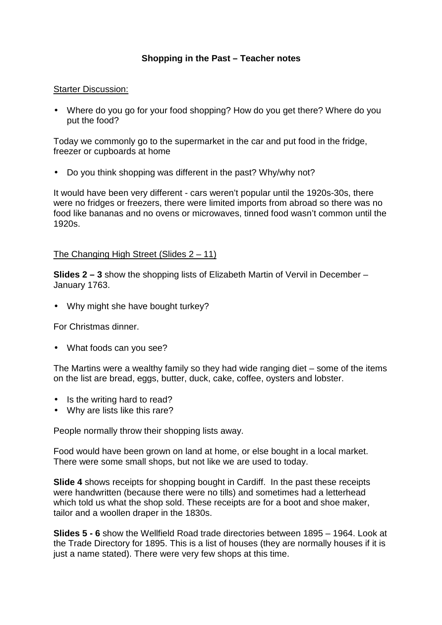# **Shopping in the Past – Teacher notes**

#### Starter Discussion:

• Where do you go for your food shopping? How do you get there? Where do you put the food?

Today we commonly go to the supermarket in the car and put food in the fridge, freezer or cupboards at home

• Do you think shopping was different in the past? Why/why not?

It would have been very different - cars weren't popular until the 1920s-30s, there were no fridges or freezers, there were limited imports from abroad so there was no food like bananas and no ovens or microwaves, tinned food wasn't common until the 1920s.

### The Changing High Street (Slides 2 – 11)

**Slides 2 – 3** show the shopping lists of Elizabeth Martin of Vervil in December – January 1763.

• Why might she have bought turkey?

For Christmas dinner.

• What foods can you see?

The Martins were a wealthy family so they had wide ranging diet – some of the items on the list are bread, eggs, butter, duck, cake, coffee, oysters and lobster.

- Is the writing hard to read?
- Why are lists like this rare?

People normally throw their shopping lists away.

Food would have been grown on land at home, or else bought in a local market. There were some small shops, but not like we are used to today.

**Slide 4** shows receipts for shopping bought in Cardiff. In the past these receipts were handwritten (because there were no tills) and sometimes had a letterhead which told us what the shop sold. These receipts are for a boot and shoe maker, tailor and a woollen draper in the 1830s.

**Slides 5 - 6** show the Wellfield Road trade directories between 1895 – 1964. Look at the Trade Directory for 1895. This is a list of houses (they are normally houses if it is just a name stated). There were very few shops at this time.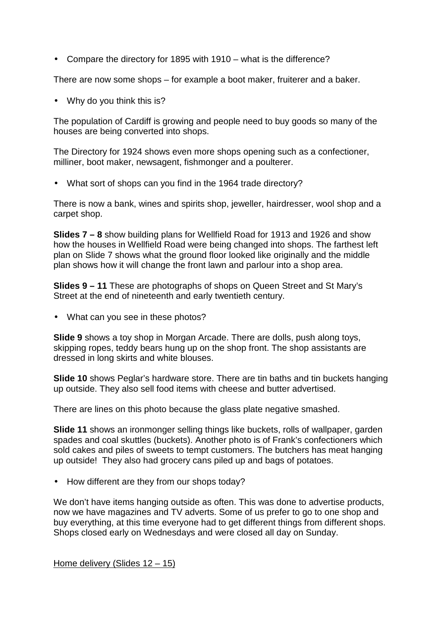• Compare the directory for 1895 with 1910 – what is the difference?

There are now some shops – for example a boot maker, fruiterer and a baker.

• Why do you think this is?

The population of Cardiff is growing and people need to buy goods so many of the houses are being converted into shops.

The Directory for 1924 shows even more shops opening such as a confectioner, milliner, boot maker, newsagent, fishmonger and a poulterer.

• What sort of shops can you find in the 1964 trade directory?

There is now a bank, wines and spirits shop, jeweller, hairdresser, wool shop and a carpet shop.

**Slides 7 – 8** show building plans for Wellfield Road for 1913 and 1926 and show how the houses in Wellfield Road were being changed into shops. The farthest left plan on Slide 7 shows what the ground floor looked like originally and the middle plan shows how it will change the front lawn and parlour into a shop area.

**Slides 9 – 11** These are photographs of shops on Queen Street and St Mary's Street at the end of nineteenth and early twentieth century.

• What can you see in these photos?

**Slide 9** shows a toy shop in Morgan Arcade. There are dolls, push along toys, skipping ropes, teddy bears hung up on the shop front. The shop assistants are dressed in long skirts and white blouses.

**Slide 10** shows Peglar's hardware store. There are tin baths and tin buckets hanging up outside. They also sell food items with cheese and butter advertised.

There are lines on this photo because the glass plate negative smashed.

**Slide 11** shows an ironmonger selling things like buckets, rolls of wallpaper, garden spades and coal skuttles (buckets). Another photo is of Frank's confectioners which sold cakes and piles of sweets to tempt customers. The butchers has meat hanging up outside! They also had grocery cans piled up and bags of potatoes.

• How different are they from our shops today?

We don't have items hanging outside as often. This was done to advertise products, now we have magazines and TV adverts. Some of us prefer to go to one shop and buy everything, at this time everyone had to get different things from different shops. Shops closed early on Wednesdays and were closed all day on Sunday.

Home delivery (Slides 12 – 15)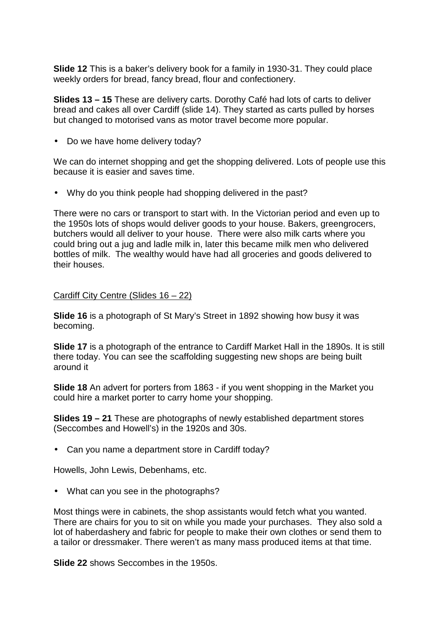**Slide 12** This is a baker's delivery book for a family in 1930-31. They could place weekly orders for bread, fancy bread, flour and confectionery.

**Slides 13 – 15** These are delivery carts. Dorothy Café had lots of carts to deliver bread and cakes all over Cardiff (slide 14). They started as carts pulled by horses but changed to motorised vans as motor travel become more popular.

• Do we have home delivery today?

We can do internet shopping and get the shopping delivered. Lots of people use this because it is easier and saves time.

• Why do you think people had shopping delivered in the past?

There were no cars or transport to start with. In the Victorian period and even up to the 1950s lots of shops would deliver goods to your house. Bakers, greengrocers, butchers would all deliver to your house. There were also milk carts where you could bring out a jug and ladle milk in, later this became milk men who delivered bottles of milk. The wealthy would have had all groceries and goods delivered to their houses.

## Cardiff City Centre (Slides 16 – 22)

**Slide 16** is a photograph of St Mary's Street in 1892 showing how busy it was becoming.

**Slide 17** is a photograph of the entrance to Cardiff Market Hall in the 1890s. It is still there today. You can see the scaffolding suggesting new shops are being built around it

**Slide 18** An advert for porters from 1863 - if you went shopping in the Market you could hire a market porter to carry home your shopping.

**Slides 19 – 21** These are photographs of newly established department stores (Seccombes and Howell's) in the 1920s and 30s.

• Can you name a department store in Cardiff today?

Howells, John Lewis, Debenhams, etc.

• What can you see in the photographs?

Most things were in cabinets, the shop assistants would fetch what you wanted. There are chairs for you to sit on while you made your purchases. They also sold a lot of haberdashery and fabric for people to make their own clothes or send them to a tailor or dressmaker. There weren't as many mass produced items at that time.

**Slide 22** shows Seccombes in the 1950s.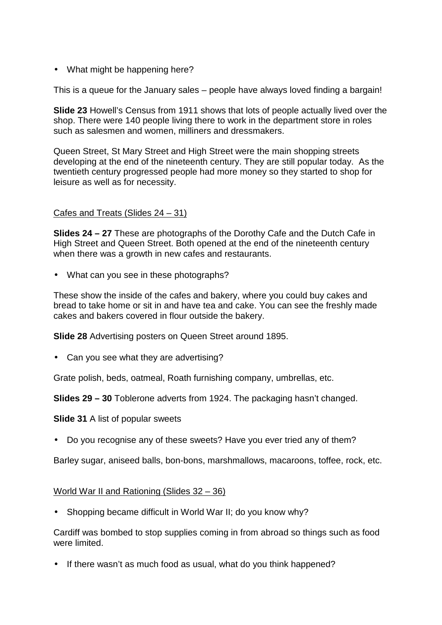• What might be happening here?

This is a queue for the January sales – people have always loved finding a bargain!

**Slide 23** Howell's Census from 1911 shows that lots of people actually lived over the shop. There were 140 people living there to work in the department store in roles such as salesmen and women, milliners and dressmakers.

Queen Street, St Mary Street and High Street were the main shopping streets developing at the end of the nineteenth century. They are still popular today. As the twentieth century progressed people had more money so they started to shop for leisure as well as for necessity.

### Cafes and Treats (Slides 24 – 31)

**Slides 24 – 27** These are photographs of the Dorothy Cafe and the Dutch Cafe in High Street and Queen Street. Both opened at the end of the nineteenth century when there was a growth in new cafes and restaurants.

• What can you see in these photographs?

These show the inside of the cafes and bakery, where you could buy cakes and bread to take home or sit in and have tea and cake. You can see the freshly made cakes and bakers covered in flour outside the bakery.

**Slide 28** Advertising posters on Queen Street around 1895.

• Can you see what they are advertising?

Grate polish, beds, oatmeal, Roath furnishing company, umbrellas, etc.

**Slides 29 – 30** Toblerone adverts from 1924. The packaging hasn't changed.

**Slide 31** A list of popular sweets

• Do you recognise any of these sweets? Have you ever tried any of them?

Barley sugar, aniseed balls, bon-bons, marshmallows, macaroons, toffee, rock, etc.

World War II and Rationing (Slides 32 – 36)

• Shopping became difficult in World War II; do you know why?

Cardiff was bombed to stop supplies coming in from abroad so things such as food were limited.

• If there wasn't as much food as usual, what do you think happened?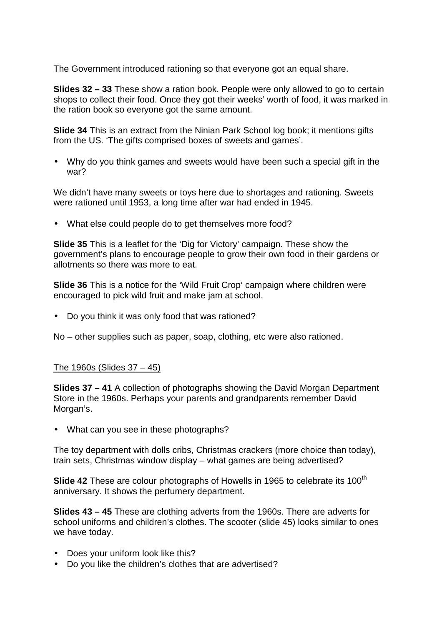The Government introduced rationing so that everyone got an equal share.

**Slides 32 – 33** These show a ration book. People were only allowed to go to certain shops to collect their food. Once they got their weeks' worth of food, it was marked in the ration book so everyone got the same amount.

**Slide 34** This is an extract from the Ninian Park School log book; it mentions gifts from the US. 'The gifts comprised boxes of sweets and games'.

• Why do you think games and sweets would have been such a special gift in the war?

We didn't have many sweets or toys here due to shortages and rationing. Sweets were rationed until 1953, a long time after war had ended in 1945.

• What else could people do to get themselves more food?

**Slide 35** This is a leaflet for the 'Dig for Victory' campaign. These show the government's plans to encourage people to grow their own food in their gardens or allotments so there was more to eat.

**Slide 36** This is a notice for the 'Wild Fruit Crop' campaign where children were encouraged to pick wild fruit and make jam at school.

• Do you think it was only food that was rationed?

No – other supplies such as paper, soap, clothing, etc were also rationed.

### The 1960s (Slides 37 – 45)

**Slides 37 – 41** A collection of photographs showing the David Morgan Department Store in the 1960s. Perhaps your parents and grandparents remember David Morgan's.

• What can you see in these photographs?

The toy department with dolls cribs, Christmas crackers (more choice than today), train sets, Christmas window display – what games are being advertised?

**Slide 42** These are colour photographs of Howells in 1965 to celebrate its 100<sup>th</sup> anniversary. It shows the perfumery department.

**Slides 43 – 45** These are clothing adverts from the 1960s. There are adverts for school uniforms and children's clothes. The scooter (slide 45) looks similar to ones we have today.

- Does your uniform look like this?
- Do you like the children's clothes that are advertised?